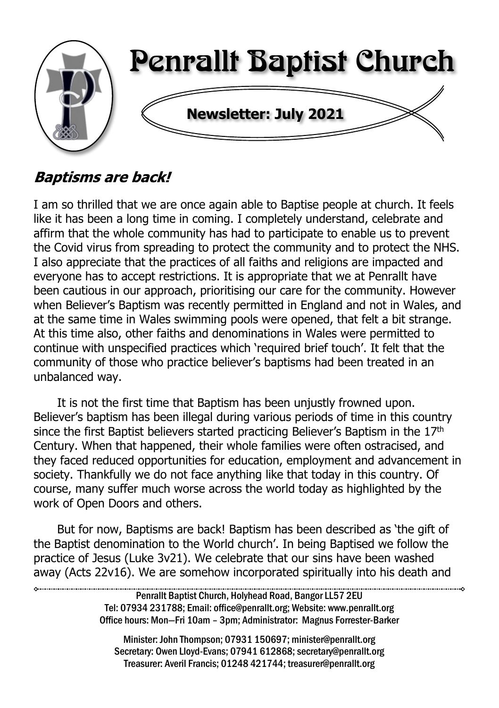

# **Baptisms are back!**

I am so thrilled that we are once again able to Baptise people at church. It feels like it has been a long time in coming. I completely understand, celebrate and affirm that the whole community has had to participate to enable us to prevent the Covid virus from spreading to protect the community and to protect the NHS. I also appreciate that the practices of all faiths and religions are impacted and everyone has to accept restrictions. It is appropriate that we at Penrallt have been cautious in our approach, prioritising our care for the community. However when Believer's Baptism was recently permitted in England and not in Wales, and at the same time in Wales swimming pools were opened, that felt a bit strange. At this time also, other faiths and denominations in Wales were permitted to continue with unspecified practices which 'required brief touch'. It felt that the community of those who practice believer's baptisms had been treated in an unbalanced way.

It is not the first time that Baptism has been unjustly frowned upon. Believer's baptism has been illegal during various periods of time in this country since the first Baptist believers started practicing Believer's Baptism in the 17<sup>th</sup> Century. When that happened, their whole families were often ostracised, and they faced reduced opportunities for education, employment and advancement in society. Thankfully we do not face anything like that today in this country. Of course, many suffer much worse across the world today as highlighted by the work of Open Doors and others.

But for now, Baptisms are back! Baptism has been described as 'the gift of the Baptist denomination to the World church'. In being Baptised we follow the practice of Jesus (Luke 3v21). We celebrate that our sins have been washed away (Acts 22v16). We are somehow incorporated spiritually into his death and

> Penrallt Baptist Church, Holyhead Road, Bangor LL57 2EU Tel: 07934 231788; Email: office@penrallt.org; Website: www.penrallt.org Office hours: Mon—Fri 10am – 3pm; Administrator: Magnus Forrester-Barker

Minister: John Thompson; 07931 150697; minister@penrallt.org Secretary: Owen Lloyd-Evans; 07941 612868; secretary@penrallt.org Treasurer: Averil Francis; 01248 421744; treasurer@penrallt.org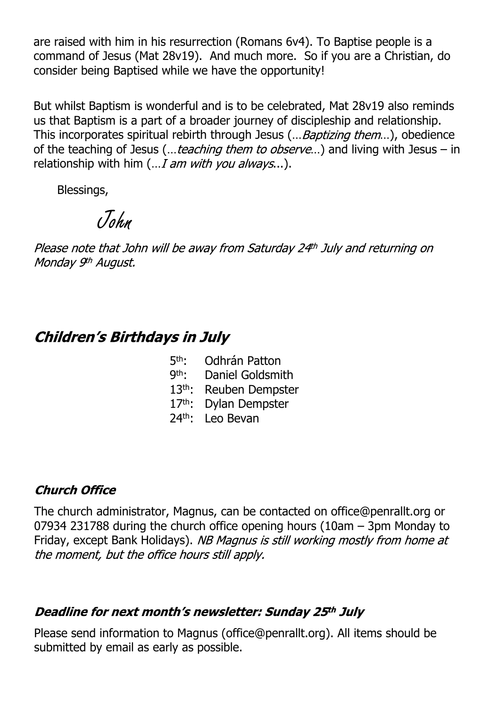are raised with him in his resurrection (Romans 6v4). To Baptise people is a command of Jesus (Mat 28v19). And much more. So if you are a Christian, do consider being Baptised while we have the opportunity!

But whilst Baptism is wonderful and is to be celebrated, Mat 28v19 also reminds us that Baptism is a part of a broader journey of discipleship and relationship. This incorporates spiritual rebirth through Jesus (... Baptizing them...), obedience of the teaching of Jesus (... teaching them to observe...) and living with Jesus – in relationship with him  $(... I am with you always...)$ .

Blessings,

John

Please note that John will be away from Saturday 24th July and returning on Monday 9th August.

## **Children's Birthdays in July**

- 5th · Odhrán Patton
- 9<sup>th</sup>: Daniel Goldsmith
- 13th: Reuben Dempster
- 17th: Dylan Dempster
- 24th: Leo Bevan

#### **Church Office**

The church administrator, Magnus, can be contacted on office@penrallt.org or 07934 231788 during the church office opening hours (10am – 3pm Monday to Friday, except Bank Holidays). NB Magnus is still working mostly from home at the moment, but the office hours still apply.

#### Deadline for next month's newsletter: Sunday 25th July

Please send information to Magnus (office@penrallt.org). All items should be submitted by email as early as possible.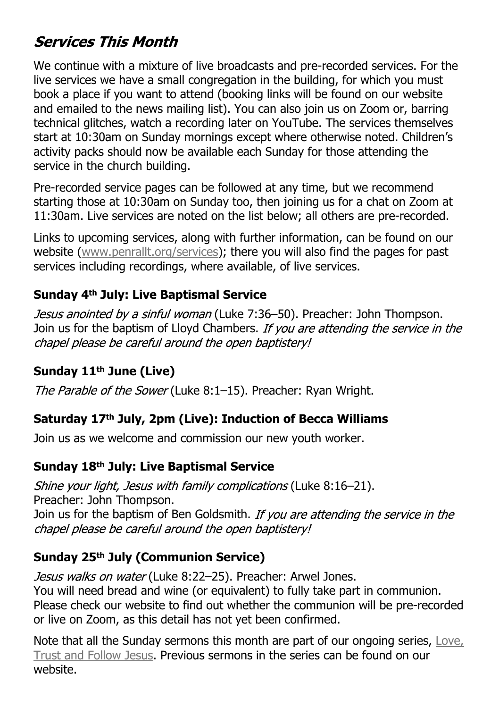# **Services This Month**

We continue with a mixture of live broadcasts and pre-recorded services. For the live services we have a small congregation in the building, for which you must book a place if you want to attend (booking links will be found on our website and emailed to the news mailing list). You can also join us on Zoom or, barring technical glitches, watch a recording later on YouTube. The services themselves start at 10:30am on Sunday mornings except where otherwise noted. Children's activity packs should now be available each Sunday for those attending the service in the church building.

Pre-recorded service pages can be followed at any time, but we recommend starting those at 10:30am on Sunday too, then joining us for a chat on Zoom at 11:30am. Live services are noted on the list below; all others are pre-recorded.

Links to upcoming services, along with further information, can be found on our website ([www.penrallt.org/services\)](https://www.penrallt.org/services/index.php); there you will also find the pages for past services including recordings, where available, of live services.

#### **Sunday 4th July: Live Baptismal Service**

Jesus anointed by a sinful woman (Luke 7:36–50). Preacher: John Thompson. Join us for the baptism of Lloyd Chambers. If you are attending the service in the chapel please be careful around the open baptistery!

#### **Sunday 11th June (Live)**

The Parable of the Sower (Luke 8:1-15). Preacher: Ryan Wright.

#### **Saturday 17th July, 2pm (Live): Induction of Becca Williams**

Join us as we welcome and commission our new youth worker.

#### **Sunday 18th July: Live Baptismal Service**

Shine your light, Jesus with family complications (Luke 8:16-21). Preacher: John Thompson.

Join us for the baptism of Ben Goldsmith. *If you are attending the service in the* chapel please be careful around the open baptistery!

#### **Sunday 25th July (Communion Service)**

Jesus walks on water (Luke 8:22-25). Preacher: Arwel Jones. You will need bread and wine (or equivalent) to fully take part in communion. Please check our website to find out whether the communion will be pre-recorded or live on Zoom, as this detail has not yet been confirmed.

Note that all the Sunday sermons this month are part of our ongoing series, [Love,](https://www.penrallt.org/sermons/series.php?sid=BAC) [Trust and Follow Jesus.](https://www.penrallt.org/sermons/series.php?sid=BAC) Previous sermons in the series can be found on our website.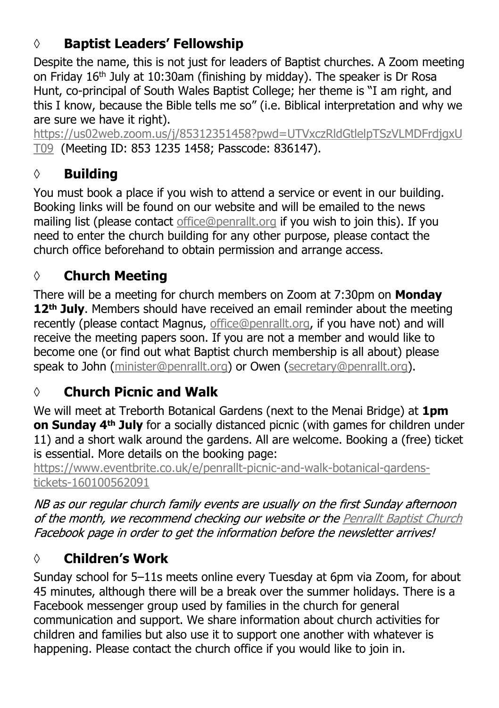# **◊ Baptist Leaders' Fellowship**

Despite the name, this is not just for leaders of Baptist churches. A Zoom meeting on Friday 16th July at 10:30am (finishing by midday). The speaker is Dr Rosa Hunt, co-principal of South Wales Baptist College; her theme is "I am right, and this I know, because the Bible tells me so" (i.e. Biblical interpretation and why we are sure we have it right).

[https://us02web.zoom.us/j/85312351458?pwd=UTVxczRldGtlelpTSzVLMDFrdjgxU](https://us02web.zoom.us/j/85312351458?pwd=UTVxczRldGtlelpTSzVLMDFrdjgxUT09 ) [T09](https://us02web.zoom.us/j/85312351458?pwd=UTVxczRldGtlelpTSzVLMDFrdjgxUT09 ) (Meeting ID: 853 1235 1458; Passcode: 836147).

# **◊ Building**

You must book a place if you wish to attend a service or event in our building. Booking links will be found on our website and will be emailed to the news mailing list (please contact [office@penrallt.org](mailto:office@penrallt.org) if you wish to join this). If you need to enter the church building for any other purpose, please contact the church office beforehand to obtain permission and arrange access.

# **◊ Church Meeting**

There will be a meeting for church members on Zoom at 7:30pm on **Monday 12th July**. Members should have received an email reminder about the meeting recently (please contact Magnus, [office@penrallt.org,](mailto:office@penrallt.org) if you have not) and will receive the meeting papers soon. If you are not a member and would like to become one (or find out what Baptist church membership is all about) please speak to John ([minister@penrallt.org\)](mailto:minister@penrallt.org) or Owen ([secretary@penrallt.org](mailto:secretary@penrallt.org)).

# **◊ Church Picnic and Walk**

We will meet at Treborth Botanical Gardens (next to the Menai Bridge) at **1pm on Sunday 4th July** for a socially distanced picnic (with games for children under 11) and a short walk around the gardens. All are welcome. Booking a (free) ticket is essential. More details on the booking page:

[https://www.eventbrite.co.uk/e/penrallt-picnic-and-walk-botanical-gardens](https://www.eventbrite.co.uk/e/penrallt-beach-picnic-and-all-age-fellowship-fun-tickets-155583280781)[tickets-160100562091](https://www.eventbrite.co.uk/e/penrallt-beach-picnic-and-all-age-fellowship-fun-tickets-155583280781)

NB as our regular church family events are usually on the first Sunday afternoon of the month, we recommend checking our website or the Penrallt Baptist Church Facebook page in order to get the information before the newsletter arrives!

# **◊ Children's Work**

Sunday school for 5–11s meets online every Tuesday at 6pm via Zoom, for about 45 minutes, although there will be a break over the summer holidays. There is a Facebook messenger group used by families in the church for general communication and support. We share information about church activities for children and families but also use it to support one another with whatever is happening. Please contact the church office if you would like to join in.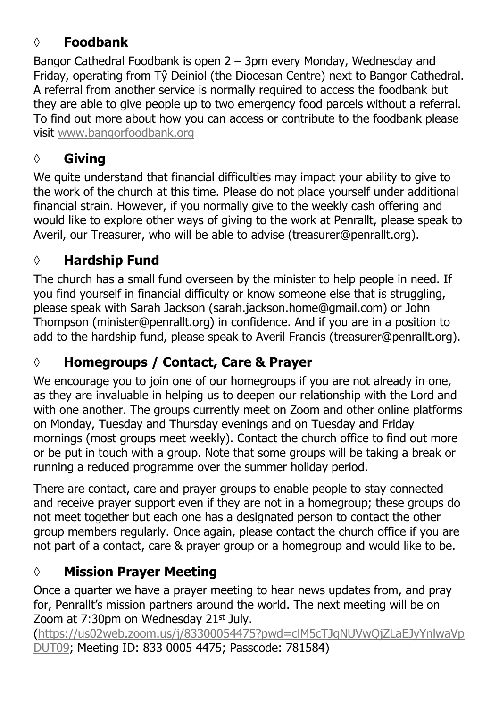## **◊ Foodbank**

Bangor Cathedral Foodbank is open 2 – 3pm every Monday, Wednesday and Friday, operating from Tŷ Deiniol (the Diocesan Centre) next to Bangor Cathedral. A referral from another service is normally required to access the foodbank but they are able to give people up to two emergency food parcels without a referral. To find out more about how you can access or contribute to the foodbank please visit [www.bangorfoodbank.org](https://www.bangorfoodbank.org)

### **◊ Giving**

We quite understand that financial difficulties may impact your ability to give to the work of the church at this time. Please do not place yourself under additional financial strain. However, if you normally give to the weekly cash offering and would like to explore other ways of giving to the work at Penrallt, please speak to Averil, our Treasurer, who will be able to advise (treasurer@penrallt.org).

### **◊ Hardship Fund**

The church has a small fund overseen by the minister to help people in need. If you find yourself in financial difficulty or know someone else that is struggling, please speak with Sarah Jackson (sarah.jackson.home@gmail.com) or John Thompson (minister@penrallt.org) in confidence. And if you are in a position to add to the hardship fund, please speak to Averil Francis (treasurer@penrallt.org).

## **◊ Homegroups / Contact, Care & Prayer**

We encourage you to join one of our homegroups if you are not already in one, as they are invaluable in helping us to deepen our relationship with the Lord and with one another. The groups currently meet on Zoom and other online platforms on Monday, Tuesday and Thursday evenings and on Tuesday and Friday mornings (most groups meet weekly). Contact the church office to find out more or be put in touch with a group. Note that some groups will be taking a break or running a reduced programme over the summer holiday period.

There are contact, care and prayer groups to enable people to stay connected and receive prayer support even if they are not in a homegroup; these groups do not meet together but each one has a designated person to contact the other group members regularly. Once again, please contact the church office if you are not part of a contact, care & prayer group or a homegroup and would like to be.

## **◊ Mission Prayer Meeting**

Once a quarter we have a prayer meeting to hear news updates from, and pray for, Penrallt's mission partners around the world. The next meeting will be on Zoom at  $7:30$ pm on Wednesday  $21$ <sup>st</sup> July.

[\(https://us02web.zoom.us/j/83300054475?pwd=clM5cTJqNUVwQjZLaEJyYnlwaVp](https://us02web.zoom.us/j/83300054475?pwd=clM5cTJqNUVwQjZLaEJyYnlwaVpDUT09) [DUT09](https://us02web.zoom.us/j/83300054475?pwd=clM5cTJqNUVwQjZLaEJyYnlwaVpDUT09); Meeting ID: 833 0005 4475; Passcode: 781584)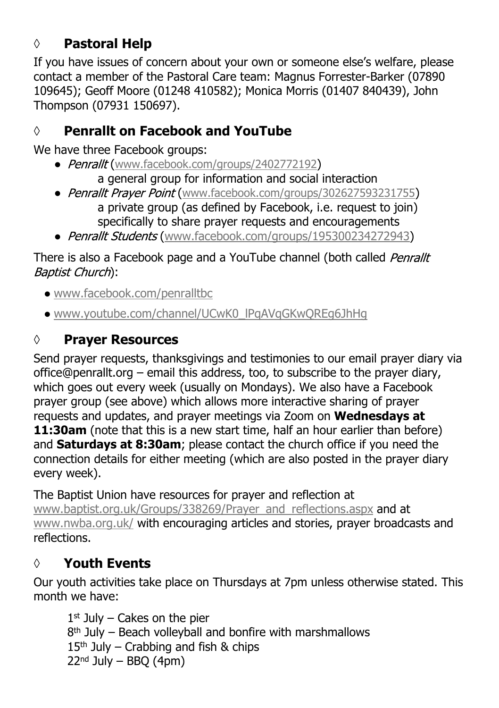## **◊ Pastoral Help**

If you have issues of concern about your own or someone else's welfare, please contact a member of the Pastoral Care team: Magnus Forrester-Barker (07890 109645); Geoff Moore (01248 410582); Monica Morris (01407 840439), John Thompson (07931 150697).

## **◊ Penrallt on Facebook and YouTube**

We have three Facebook groups:

- Penrallt ([www.facebook.com/groups/2402772192](https://www.facebook.com/groups/2402772192)) a general group for information and social interaction
- Penrallt Prayer Point ([www.facebook.com/groups/302627593231755](https://www.facebook.com/groups/302627593231755)) a private group (as defined by Facebook, i.e. request to join) specifically to share prayer requests and encouragements
- Penrallt Students ([www.facebook.com/groups/195300234272943\)](https://www.facebook.com/groups/195300234272943)

There is also a Facebook page and a YouTube channel (both called Penrallt Baptist Church):

- [www.facebook.com/penralltbc](https://www.facebook.com/penralltbc)
- [www.youtube.com/channel/UCwK0\\_lPqAVqGKwQREg6JhHg](https://www.youtube.com/channel/UCwK0_lPqAVqGKwQREg6JhHg)

## **◊ Prayer Resources**

Send prayer requests, thanksgivings and testimonies to our email prayer diary via office@penrallt.org – email this address, too, to subscribe to the prayer diary, which goes out every week (usually on Mondays). We also have a Facebook prayer group (see above) which allows more interactive sharing of prayer requests and updates, and prayer meetings via Zoom on **Wednesdays at 11:30am** (note that this is a new start time, half an hour earlier than before) and **Saturdays at 8:30am**; please contact the church office if you need the connection details for either meeting (which are also posted in the prayer diary every week).

The Baptist Union have resources for prayer and reflection at [www.baptist.org.uk/Groups/338269/Prayer\\_and\\_reflections.aspx](https://www.baptist.org.uk/Groups/338269/Prayer_and_reflections.aspx) and at [www.nwba.org.uk/](http://www.nwba.org.uk/) with encouraging articles and stories, prayer broadcasts and reflections.

## **◊ Youth Events**

Our youth activities take place on Thursdays at 7pm unless otherwise stated. This month we have:

1 st July – Cakes on the pier 8 th July – Beach volleyball and bonfire with marshmallows  $15<sup>th</sup>$  July – Crabbing and fish & chips  $22<sup>nd</sup>$  July – BBO (4pm)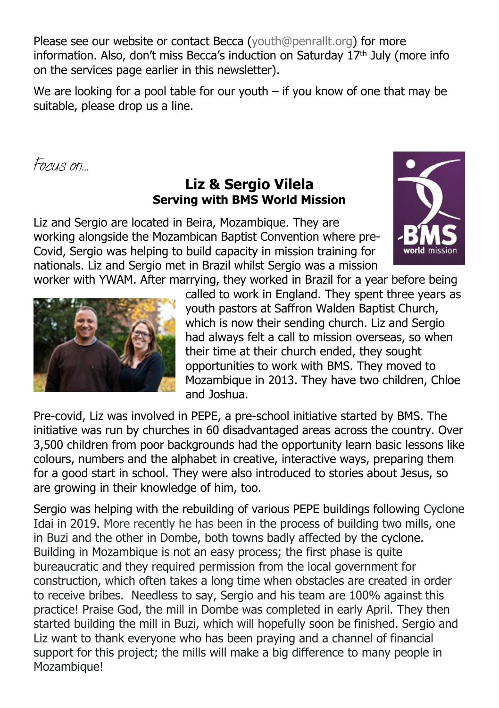Please see our website or contact Becca ([youth@penrallt.org\)](mailto:youth@penrallt.org) for more information. Also, don't miss Becca's induction on Saturday  $17<sup>th</sup>$  July (more info on the services page earlier in this newsletter).

We are looking for a pool table for our youth – if you know of one that may be suitable, please drop us a line.

*Focus on…*

### **Liz & Sergio Vilela Serving with BMS World Mission**

Liz and Sergio are located in Beira, Mozambique. They are working alongside the Mozambican Baptist Convention where pre-Covid, Sergio was helping to build capacity in mission training for nationals. Liz and Sergio met in Brazil whilst Sergio was a mission worker with YWAM. After marrying, they worked in Brazil for a year before being





called to work in England. They spent three years as youth pastors at Saffron Walden Baptist Church, which is now their sending church. Liz and Sergio had always felt a call to mission overseas, so when their time at their church ended, they sought opportunities to work with BMS. They moved to Mozambique in 2013. They have two children, Chloe and Joshua.

Pre-covid, Liz was involved in PEPE, a pre-school initiative started by BMS. The initiative was run by churches in 60 disadvantaged areas across the country. Over 3,500 children from poor backgrounds had the opportunity learn basic lessons like colours, numbers and the alphabet in creative, interactive ways, preparing them for a good start in school. They were also introduced to stories about Jesus, so are growing in their knowledge of him, too.

Sergio was helping with the rebuilding of various PEPE buildings following Cyclone Idai in 2019. More recently he has been in the process of building two mills, one in Buzi and the other in Dombe, both towns badly affected by the cyclone. Building in Mozambique is not an easy process; the first phase is quite bureaucratic and they required permission from the local government for construction, which often takes a long time when obstacles are created in order to receive bribes. Needless to say, Sergio and his team are 100% against this practice! Praise God, the mill in Dombe was completed in early April. They then started building the mill in Buzi, which will hopefully soon be finished. Sergio and Liz want to thank everyone who has been praying and a channel of financial support for this project; the mills will make a big difference to many people in Mozambique!